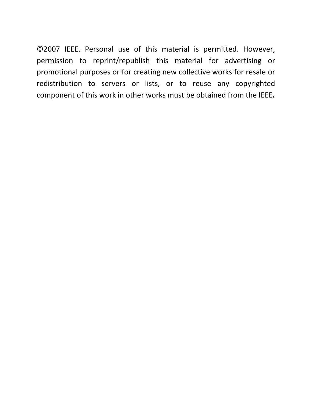©2007 IEEE. Personal use of this material is permitted. However, permission to reprint/republish this material for advertising or promotional purposes or for creating new collective works for resale or redistribution to servers or lists, or to reuse any copyrighted component of this work in other works must be obtained from the IEEE**.**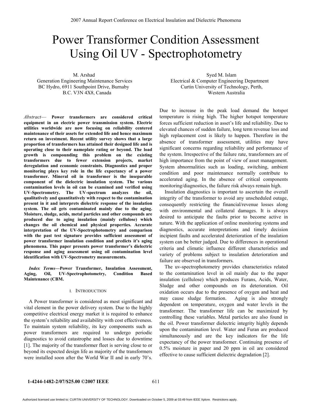# Power Transformer Condition Assessment Using Oil UV - Spectrophotometry

BC Hydro, 6911 Southpoint Drive, Burnaby Curtin University of Technology, Perth,

*Abstract*— **Power transformers are considered critical equipment in an electric power transmission system. Electric utilities worldwide are now focusing on reliability centered maintenance of their assets for extended life and hence maximum return on investment. Recent utility survey shows that a large proportion of transformers has attained their designed life and is operating close to their nameplate rating or beyond. The load growth is compounding this problem on the existing transformers due to fewer extension projects, market deregulation and economic constraints. Diagnostics and proper monitoring plays key role in the life expectancy of a power transformer. Mineral oil in transformer is the inseparable component of the dielectric insulation system. The various contamination levels in oil can be examined and verified using UV-Spectrometry. The UV-spectrum analyzes the oil, qualitatively and quantitatively with respect to the contamination present in it and interprets dielectric response of the insulation system. The oil gets contaminated mainly due to the aging. Moisture, sludge, acids, metal particles and other compounds are produced due to aging insulation (mainly cellulose) which changes the oil chemical and physical properties. Accurate interpretation of the UV-Spectrophotometry and comparison with the past test signature provides sufficient assessment of power transformer insulation condition and predicts it's aging phenomena. This paper presents power transformer's dielectric response and aging assessment using oil contamination level identification with UV-Spectrometry measurements.**

*Index Terms***—Power Transformer, Insulation Assessment, Aging, Oil, UV-Spectrophotometry, Condition Based Maintenance (CBM.** 

# I. INTRODUCTION

A Power transformer is considered as most significant and vital element in the power delivery system. Due to the highly competitive electrical energy market it is required to enhance the system's reliability and availability with cost effectiveness. To maintain system reliability, its key components such as power transformers are required to undergo periodic diagnostics to avoid catastrophe and losses due to downtime [1]. The majority of the transformer fleet is serving close to or beyond its expected design life as majority of the transformers were installed soon after the World War II and in early 70's.

M. Arshad Syed M. Islam Generation Engineering Maintenance Services Electrical & Computer Engineering Department B.C. V3N 4X8, Canada Western Australia

> Due to increase in the peak load demand the hotspot temperature is rising high. The higher hotspot temperature forces sufficient reduction in asset's life and reliability. Due to elevated chances of sudden failure, long term revenue loss and high replacement cost is likely to happen. Therefore in the absence of transformer assessment, utilities may have significant concerns regarding reliability and performance of the system. Irrespective of the failure rate, transformers are of high importance from the point of view of asset management. System abnormalities such as loading, switching, ambient condition and poor maintenance normally contribute to accelerated aging. In the absence of critical components monitoring/diagnostics, the failure risk always remain high.

> Insulation diagnostics is important to ascertain the overall integrity of the transformer to avoid any unscheduled outage, consequently restricting the financial/revenue losses along with environmental and collateral damages. It is always desired to anticipate the faults prior to become active in nature. With the application of online monitoring systems and diagnostics, accurate interpretations and timely decision incipient faults and accelerated deterioration of the insulation system can be better judged. Due to differences in operational criteria and climatic influence different characteristics and variety of problems subject to insulation deterioration and failure are observed in transformers.

> The uv-spectrophotometry provides characteristics related to the contamination level in oil mainly due to the paper insulation (cellulose) which produces Furans, Acids, Water, Sludge and other compounds on its deterioration. Oil oxidation occurs due to the presence of oxygen and heat and may cause sludge formation. Aging is also strongly dependent on temperature, oxygen and water levels in the transformer. The transformer life can be maximized by controlling these variables. Metal particles are also found in the oil. Power transformer dielectric integrity highly depends upon the contamination level. Water and Furan are produced simultaneously and are the key indicators for the life expectancy of the power transformer. Continuing presence of 0.5% moisture in paper and 20 ppm in oil are considered effective to cause sufficient dielectric degradation [2].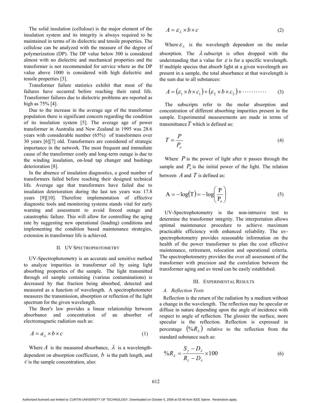The solid insulation (cellulose) is the major element of the insulation system and its integrity is always required to be maintained in terms of its dielectric and tensile properties. The cellulose can be analyzed with the measure of the degree of polymerization (DP). The DP value below 300 is considered almost with no dielectric and mechanical properties and the transformer is not recommended for service where as the DP value above 1000 is considered with high dielectric and tensile properties [3].

Transformer failure statistics exhibit that most of the failures have occurred before reaching their rated life. Transformer failures due to dielectric problems are reported as high as 75% [4].

Due to the increase in the average age of the transformer population there is significant concern regarding the condition of its insulation system [5]. The average age of power transformer in Australia and New Zealand in 1995 was 28.6 years with considerable number (65%) of transformers over 30 years [6][7] old. Transformers are considered of strategic importance in the network. The most frequent and immediate cause of the transformer costly and long-term outage is due to the winding insulation, on-load tap changer and bushings deterioration [8].

In the absence of insulation diagnostics, a good number of transformers failed before reaching their designed technical life. Average age that transformers have failed due to insulation deterioration during the last ten years was 17.8 years [9][10]. Therefore implementation of effective diagnostic tools and monitoring systems stands vital for early warning and assessment to avoid forced outage and catastrophic failure. This will allow for controlling the aging rate by suggesting new operational (loading) conditions and implementing the condition based maintenance strategies, extension in transformer life is achieved.

## II. UV SPECTROPHOTOMETRY

UV-Spectrophotometry is an accurate and sensitive method to analyze impurities in transformer oil by using light absorbing properties of the sample. The light transmitted through oil sample containing (various contaminations) is decreased by that fraction being absorbed, detected and measured as a function of wavelength. A spectrophotometer measures the transmission, absorption or reflection of the light spectrum for the given wavelength.

The Beer's law provides a linear relationship between absorbance and concentration of an absorber of electromagnetic radiation such as:

$$
A = a_{\lambda} \times b \times c \tag{1}
$$

Where *A* is the measured absorbance,  $\lambda$  is a wavelengthdependent on absorption coefficient, *b* is the path length, and *c* is the sample concentration, also:

$$
A = \varepsilon_{\lambda} \times b \times c \tag{2}
$$

Where  $\varepsilon_{\lambda}$  is the wavelength dependent on the molar absorption. The  $\lambda$  subscript is often dropped with the understanding that a value for  $\varepsilon$  is for a specific wavelength. If multiple species that absorb light at a given wavelength are present in a sample, the total absorbance at that wavelength is the sum due to all substances:

$$
A = (\varepsilon_1 \times b \times c_1) + (\varepsilon_2 \times b \times c_2) + \cdots \cdots \cdots \cdots \qquad (3)
$$

The subscripts refer to the molar absorption and concentration of different absorbing impurities present in the sample. Experimental measurements are made in terms of transmittance  $T$  which is defined as:

$$
T = \frac{P}{P_o} \tag{4}
$$

Where  $P$  is the power of light after it passes through the sample and  $P<sub>o</sub>$  is the initial power of the light. The relation between *A* and *T* is defined as:

$$
A = -\log(T) = -\log\left(\frac{P}{P_o}\right) \tag{5}
$$

UV-Spectrophotometry is the non-intrusive test to determine the transformer integrity. The interpretation allows optimal maintenance procedure to achieve maximum practicable efficiency with enhanced reliability. The uvspectrophotometry provides reasonable information on the health of the power transformer to plan the cost effective maintenance, retirement, relocation and operational criteria. The spectrophotometry provides the over all assessment of the transformer with precision and the correlation between the transformer aging and uv trend can be easily established.

## III. EXPERIMENTAL RESULTS

# *A. Reflection Tests*

Reflection is the return of the radiation by a medium without a change in the wavelength. The reflection may be specular or diffuse in nature depending upon the angle of incidence with respect to angle of reflection. The glossier the surface, more specular is the reflection. Reflection is expressed in percentage  $(\%R_{\lambda})$  relative to the reflection from the standard substance such as:

$$
\%R_{\lambda} = \frac{S_{\gamma} - D_{\lambda}}{R_{\gamma} - D_{\lambda}} \times 100
$$
 (6)

Authorized licensed use limited to: CURTIN UNIVERSITY OF TECHNOLOGY. Downloaded on October 5, 2009 at 03:49 from IEEE Xplore. Restrictions apply.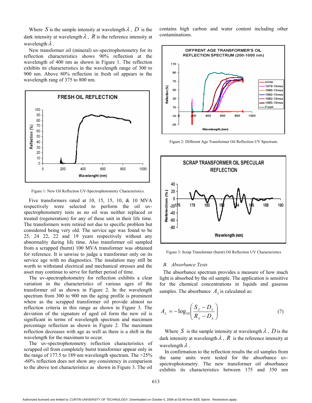Where *S* is the sample intensity at wavelength  $\lambda$ , *D* is the dark intensity at wavelength  $\lambda$ ,  $R$  is the reference intensity at wavelength  $\lambda$ .

New transformer oil (mineral) uv-spectrophotometry for its reflection characteristics shows 90% reflection at the wavelength of 400 nm as shown in Figure 1. The reflection exhibits its characteristics in the wavelength range of 300 to 900 nm. Above 80% reflection in fresh oil appears in the wavelength rang of 375 to 800 nm.



Figure 1: New Oil Reflection UV-Spectrophotometry Characteristics.

Five transformers rated at 10, 15, 15, 10, & 10 MVA respectively were selected to perform the oil uvspectrophotometry tests as no oil was neither replaced or treated (regeneration) for any of these unit in their life time. The transformers were retired not due to specific problem but considered being very old. The service age was found to be 25, 24 22, 22 and 19 years respectively without any abnormality during life time. Also transformer oil sampled from a scrapped (burnt) 100 MVA transformer was obtained for reference. It is unwise to judge a transformer only on its service age with no diagnostics. The insulation may still be worth to withstand electrical and mechanical stresses and the asset may continue to serve for further period of time.

The uv-spectrophotometry for reflection exhibits a clear variation in the characteristics of various ages of the transformer oil as shown in Figure 2. In the wavelength spectrum from 300 to 900 nm the aging profile is prominent where as the scrapped transformer oil provide almost no reflection criteria in this range as shown in Figure 3. The deviation of the signature of aged oil form the new oil is significant in terms of wavelength spectrum and maximum percentage reflection as shown in Figure 2. The maximum reflection decreases with age as well as there is a shift in the wavelength for the maximum to occur.

The uv-spectrophotometry reflection characteristics of scrapped oil from completely burnt transformer appear only in the range of 177.5 to 189 nm wavelength spectrum. The +25% -60% reflection does not show any consistency in comparison to the above test characteristics as shown in Figure 3. The oil contains high carbon and water content including other contaminations.



Figure 2: Different Age Transformer Oil Reflection UV Spectrum.



Figure 3: Scrap Transformer (burnt) Oil Reflection UV Characterisitcs

### *B. Absorbance Tests*

The absorbance spectrum provides a measure of how much light is absorbed by the oil sample. The application is sensitive for the chemical concentrations in liquids and gaseous samples. The absorbance  $A_{\lambda}$  is calculated as:

$$
A_{\lambda} = -\log_{10}\left(\frac{S_{\lambda} - D_{\lambda}}{R_{\lambda} - D_{\lambda}}\right) \tag{7}
$$

Where *S* is the sample intensity at wavelength  $\lambda$ , *D* is the dark intensity at wavelength  $\lambda$ ,  $R$  is the reference intensity at wavelength  $\lambda$ .

In confirmation to the reflection results the oil samples from the same units were tested for the absorbance uvspectrophotometry. The new transformer oil absorbance exhibits its characteristics between 175 and 350 nm